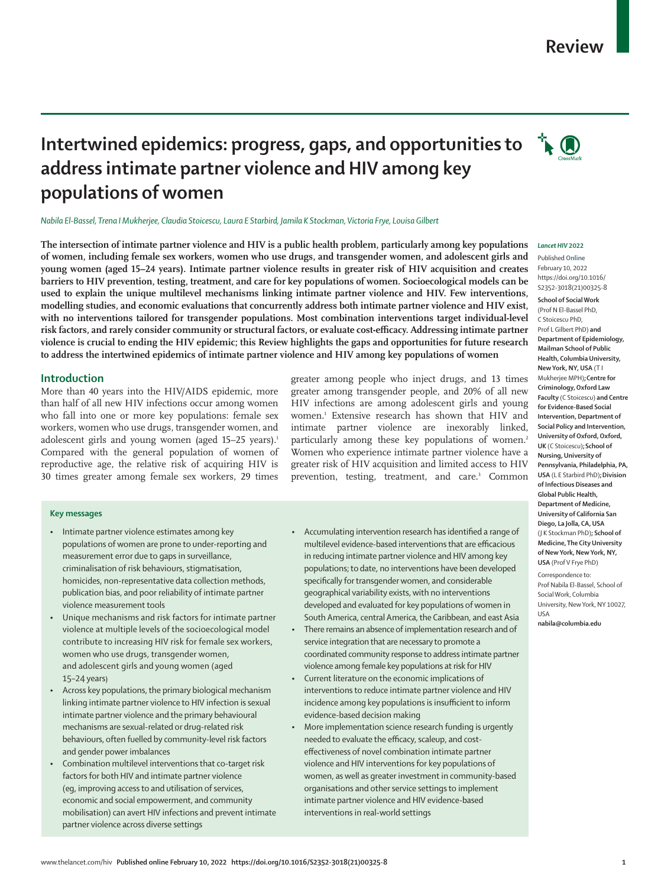## **Review**

# **Intertwined epidemics: progress, gaps, and opportunities to**  $\overrightarrow{A}$ **address intimate partner violence and HIV among key populations of women**

*Nabila El-Bassel, Trena I Mukherjee, Claudia Stoicescu, Laura E Starbird, Jamila K Stockman, Victoria Frye, Louisa Gilbert*

**The intersection of intimate partner violence and HIV is a public health problem, particularly among key populations of women, including female sex workers, women who use drugs, and transgender women, and adolescent girls and young women (aged 15–24 years). Intimate partner violence results in greater risk of HIV acquisition and creates barriers to HIV prevention, testing, treatment, and care for key populations of women. Socioecological models can be used to explain the unique multilevel mechanisms linking intimate partner violence and HIV. Few interventions, modelling studies, and economic evaluations that concurrently address both intimate partner violence and HIV exist, with no interventions tailored for transgender populations. Most combination interventions target individual-level risk factors, and rarely consider community or structural factors, or evaluate cost-efficacy. Addressing intimate partner violence is crucial to ending the HIV epidemic; this Review highlights the gaps and opportunities for future research to address the intertwined epidemics of intimate partner violence and HIV among key populations of women**

## **Introduction**

More than 40 years into the HIV/AIDS epidemic, more than half of all new HIV infections occur among women who fall into one or more key populations: female sex workers, women who use drugs, transgender women, and adolescent girls and young women (aged 15–25 years).<sup>1</sup> Compared with the general population of women of reproductive age, the relative risk of acquiring HIV is 30 times greater among female sex workers, 29 times

## **Key messages**

- Intimate partner violence estimates among key populations of women are prone to under-reporting and measurement error due to gaps in surveillance, criminalisation of risk behaviours, stigmatisation, homicides, non-representative data collection methods, publication bias, and poor reliability of intimate partner violence measurement tools
- Unique mechanisms and risk factors for intimate partner violence at multiple levels of the socioecological model contribute to increasing HIV risk for female sex workers, women who use drugs, transgender women, and adolescent girls and young women (aged 15–24 years)
- Across key populations, the primary biological mechanism linking intimate partner violence to HIV infection is sexual intimate partner violence and the primary behavioural mechanisms are sexual-related or drug-related risk behaviours, often fuelled by community-level risk factors and gender power imbalances
- Combination multilevel interventions that co-target risk factors for both HIV and intimate partner violence (eg, improving access to and utilisation of services, economic and social empowerment, and community mobilisation) can avert HIV infections and prevent intimate partner violence across diverse settings

greater among people who inject drugs, and 13 times greater among transgender people, and 20% of all new HIV infections are among adolescent girls and young women.1 Extensive research has shown that HIV and intimate partner violence are inexorably linked, particularly among these key populations of women.<sup>2</sup> Women who experience intimate partner violence have a greater risk of HIV acquisition and limited access to HIV prevention, testing, treatment, and care.<sup>3</sup> Common

- Accumulating intervention research has identified a range of multilevel evidence-based interventions that are efficacious in reducing intimate partner violence and HIV among key populations; to date, no interventions have been developed specifically for transgender women, and considerable geographical variability exists, with no interventions developed and evaluated for key populations of women in South America, central America, the Caribbean, and east Asia
- There remains an absence of implementation research and of service integration that are necessary to promote a coordinated community response to address intimate partner violence among female key populations at risk for HIV
- Current literature on the economic implications of interventions to reduce intimate partner violence and HIV incidence among key populations is insufficient to inform evidence-based decision making
- More implementation science research funding is urgently needed to evaluate the efficacy, scaleup, and costeffectiveness of novel combination intimate partner violence and HIV interventions for key populations of women, as well as greater investment in community-based organisations and other service settings to implement intimate partner violence and HIV evidence-based interventions in real-world settings

#### *Lancet HIV* **2022**

Published **Online** February 10, 2022 https://doi.org/10.1016/ S2352-3018(21)00325-8 **School of Social Work** 

(Prof N El-Bassel PhD, C Stoicescu PhD, Prof L Gilbert PhD) **and Department of Epidemiology, Mailman School of Public Health, Columbia University, New York, NY, USA** (T I Mukherjee MPH)**;Centre for Criminology, Oxford Law Faculty** (C Stoicescu) **and Centre for Evidence-Based Social Intervention, Department of Social Policy and Intervention, University of Oxford, Oxford, UK** (C Stoicescu)**;School of Nursing, University of Pennsylvania, Philadelphia, PA, USA** (L E Starbird PhD)**;Division of Infectious Diseases and Global Public Health, Department of Medicine, University of California San Diego, La Jolla, CA, USA** (J K Stockman PhD)**; School of Medicine, The City University of New York, New York, NY, USA** (Prof V Frye PhD)

Correspondence to: Prof Nabila El-Bassel, School of Social Work, Columbia University, New York, NY 10027, USA

**nabila@columbia.edu**

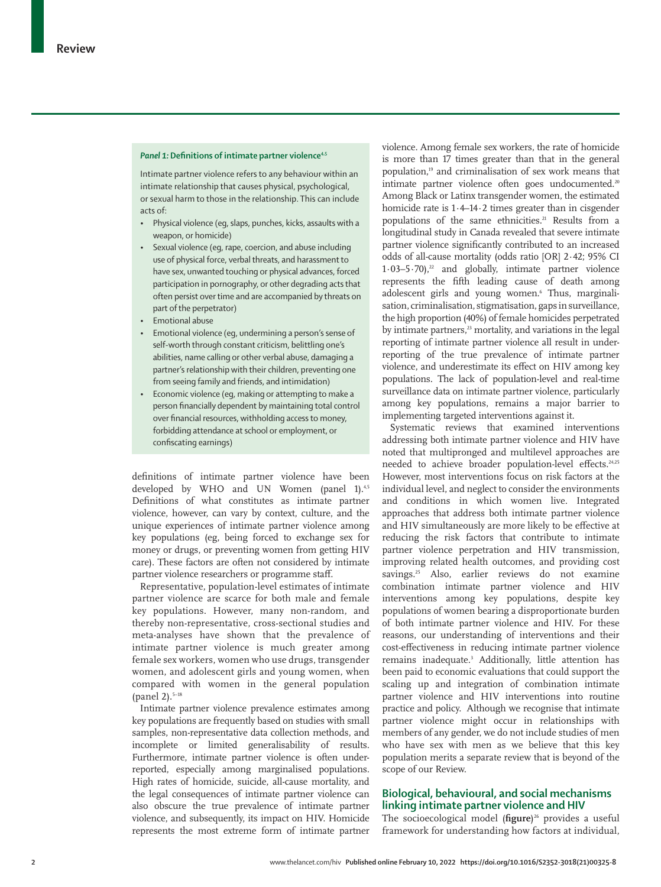#### Panel 1: Definitions of intimate partner violence<sup>4,5</sup>

Intimate partner violence refers to any behaviour within an intimate relationship that causes physical, psychological, or sexual harm to those in the relationship. This can include acts of:

- Physical violence (eg, slaps, punches, kicks, assaults with a weapon, or homicide)
- Sexual violence (eg, rape, coercion, and abuse including use of physical force, verbal threats, and harassment to have sex, unwanted touching or physical advances, forced participation in pornography, or other degrading acts that often persist over time and are accompanied by threats on part of the perpetrator)
- Emotional abuse
- Emotional violence (eg, undermining a person's sense of self-worth through constant criticism, belittling one's abilities, name calling or other verbal abuse, damaging a partner's relationship with their children, preventing one from seeing family and friends, and intimidation)
- Economic violence (eg, making or attempting to make a person financially dependent by maintaining total control over financial resources, withholding access to money, forbidding attendance at school or employment, or confiscating earnings)

definitions of intimate partner violence have been developed by WHO and UN Women (panel 1).<sup>4,5</sup> Definitions of what constitutes as intimate partner violence, however, can vary by context, culture, and the unique experiences of intimate partner violence among key populations (eg, being forced to exchange sex for money or drugs, or preventing women from getting HIV care). These factors are often not considered by intimate partner violence researchers or programme staff.

Representative, population-level estimates of intimate partner violence are scarce for both male and female key populations. However, many non-random, and thereby non-representative, cross-sectional studies and meta-analyses have shown that the prevalence of intimate partner violence is much greater among female sex workers, women who use drugs, transgender women, and adolescent girls and young women, when compared with women in the general population (panel 2).<sup>5-18</sup>

Intimate partner violence prevalence estimates among key populations are frequently based on studies with small samples, non-representative data collection methods, and incomplete or limited generalisability of results. Furthermore, intimate partner violence is often underreported, especially among marginalised populations. High rates of homicide, suicide, all-cause mortality, and the legal consequences of intimate partner violence can also obscure the true prevalence of intimate partner violence, and subsequently, its impact on HIV. Homicide represents the most extreme form of intimate partner violence. Among female sex workers, the rate of homicide is more than 17 times greater than that in the general population,19 and criminalisation of sex work means that intimate partner violence often goes undocumented.<sup>20</sup> Among Black or Latinx transgender women, the estimated homicide rate is 1·4–14·2 times greater than in cisgender populations of the same ethnicities.<sup>21</sup> Results from a longitudinal study in Canada revealed that severe intimate partner violence significantly contributed to an increased odds of all-cause mortality (odds ratio [OR] 2·42; 95% CI  $1.03-5.70$ ,<sup>22</sup> and globally, intimate partner violence represents the fifth leading cause of death among adolescent girls and young women.<sup>6</sup> Thus, marginalisation, criminalisation, stigmatisation, gaps in surveillance, the high proportion (40%) of female homicides perpetrated by intimate partners,<sup>23</sup> mortality, and variations in the legal reporting of intimate partner violence all result in underreporting of the true prevalence of intimate partner violence, and underestimate its effect on HIV among key populations. The lack of population-level and real-time surveillance data on intimate partner violence, particularly among key populations, remains a major barrier to implementing targeted interventions against it.

Systematic reviews that examined interventions addressing both intimate partner violence and HIV have noted that multipronged and multilevel approaches are needed to achieve broader population-level effects.<sup>24,25</sup> However, most interventions focus on risk factors at the individual level, and neglect to consider the environments and conditions in which women live. Integrated approaches that address both intimate partner violence and HIV simultaneously are more likely to be effective at reducing the risk factors that contribute to intimate partner violence perpetration and HIV transmission, improving related health outcomes, and providing cost savings.<sup>25</sup> Also, earlier reviews do not examine combination intimate partner violence and HIV interventions among key populations, despite key populations of women bearing a disproportionate burden of both intimate partner violence and HIV. For these reasons, our understanding of interventions and their cost-effectiveness in reducing intimate partner violence remains inadequate.<sup>3</sup> Additionally, little attention has been paid to economic evaluations that could support the scaling up and integration of combination intimate partner violence and HIV interventions into routine practice and policy. Although we recognise that intimate partner violence might occur in relationships with members of any gender, we do not include studies of men who have sex with men as we believe that this key population merits a separate review that is beyond of the scope of our Review.

## **Biological, behavioural, and social mechanisms linking intimate partner violence and HIV**

The socioecological model (**figure**) 26 provides a useful framework for understanding how factors at individual,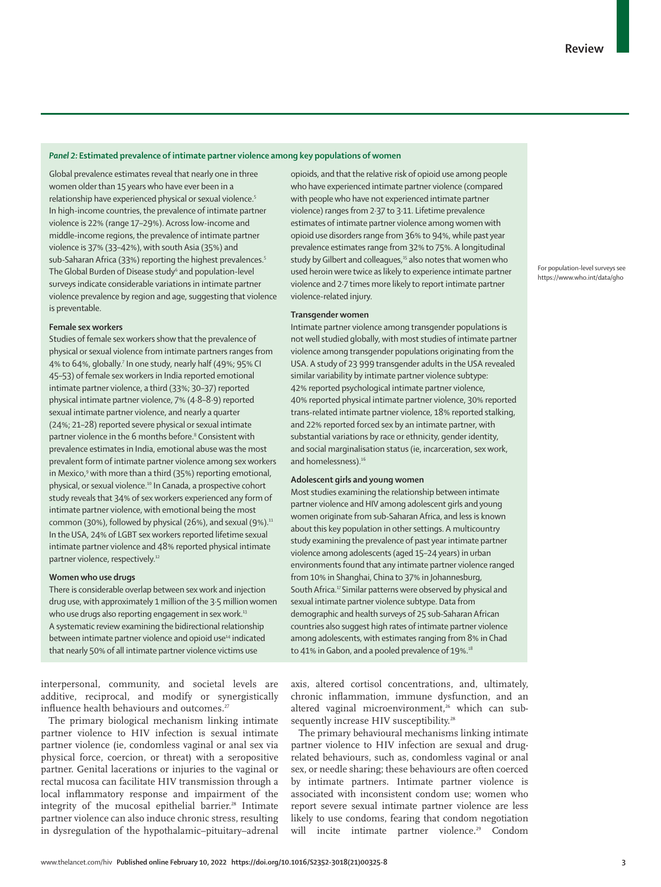### *Panel 2:* **Estimated prevalence of intimate partner violence among key populations of women**

Global prevalence estimates reveal that nearly one in three women older than 15 years who have ever been in a relationship have experienced physical or sexual violence.5 In high-income countries, the prevalence of intimate partner violence is 22% (range 17–29%). Across low-income and middle-income regions, the prevalence of intimate partner violence is 37% (33–42%), with south Asia (35%) and sub-Saharan Africa (33%) reporting the highest prevalences.<sup>5</sup> The Global Burden of Disease study<sup>6</sup> and population-level [surveys](https://www.who.int/data/gho) indicate considerable variations in intimate partner violence prevalence by region and age, suggesting that violence is preventable.

#### **Female sex workers**

Studies of female sex workers show that the prevalence of physical or sexual violence from intimate partners ranges from 4% to 64%, globally.7 In one study, nearly half (49%; 95% CI 45–53) of female sex workers in India reported emotional intimate partner violence, a third (33%; 30–37) reported physical intimate partner violence, 7% (4·8–8·9) reported sexual intimate partner violence, and nearly a quarter (24%; 21–28) reported severe physical or sexual intimate partner violence in the 6 months before.8 Consistent with prevalence estimates in India, emotional abuse was the most prevalent form of intimate partner violence among sex workers in Mexico,<sup>9</sup> with more than a third (35%) reporting emotional, physical, or sexual violence.<sup>10</sup> In Canada, a prospective cohort study reveals that 34% of sex workers experienced any form of intimate partner violence, with emotional being the most common (30%), followed by physical (26%), and sexual (9%).<sup>11</sup> In the USA, 24% of LGBT sex workers reported lifetime sexual intimate partner violence and 48% reported physical intimate partner violence, respectively.12

#### **Women who use drugs**

There is considerable overlap between sex work and injection drug use, with approximately 1 million of the 3·5 million women who use drugs also reporting engagement in sex work.<sup>13</sup> A systematic review examining the bidirectional relationship between intimate partner violence and opioid use<sup>14</sup> indicated that nearly 50% of all intimate partner violence victims use

interpersonal, community, and societal levels are additive, reciprocal, and modify or synergistically influence health behaviours and outcomes.<sup>27</sup>

The primary biological mechanism linking intimate partner violence to HIV infection is sexual intimate partner violence (ie, condomless vaginal or anal sex via physical force, coercion, or threat) with a seropositive partner. Genital lacerations or injuries to the vaginal or rectal mucosa can facilitate HIV transmission through a local inflammatory response and impairment of the integrity of the mucosal epithelial barrier.<sup>28</sup> Intimate partner violence can also induce chronic stress, resulting in dysregulation of the hypothalamic–pituitary–adrenal opioids, and that the relative risk of opioid use among people who have experienced intimate partner violence (compared with people who have not experienced intimate partner violence) ranges from 2·37 to 3·11. Lifetime prevalence estimates of intimate partner violence among women with opioid use disorders range from 36% to 94%, while past year prevalence estimates range from 32% to 75%. A longitudinal study by Gilbert and colleagues,<sup>15</sup> also notes that women who used heroin were twice as likely to experience intimate partner violence and 2·7 times more likely to report intimate partner violence-related injury.

#### **Transgender women**

Intimate partner violence among transgender populations is not well studied globally, with most studies of intimate partner violence among transgender populations originating from the USA. A study of 23 999 transgender adults in the USA revealed similar variability by intimate partner violence subtype: 42% reported psychological intimate partner violence, 40% reported physical intimate partner violence, 30% reported trans-related intimate partner violence, 18% reported stalking, and 22% reported forced sex by an intimate partner, with substantial variations by race or ethnicity, gender identity, and social marginalisation status (ie, incarceration, sex work, and homelessness).<sup>16</sup>

### **Adolescent girls and young women**

Most studies examining the relationship between intimate partner violence and HIV among adolescent girls and young women originate from sub-Saharan Africa, and less is known about this key population in other settings. A multicountry study examining the prevalence of past year intimate partner violence among adolescents (aged 15–24 years) in urban environments found that any intimate partner violence ranged from 10% in Shanghai, China to 37% in Johannesburg, South Africa.<sup>17</sup> Similar patterns were observed by physical and sexual intimate partner violence subtype. Data from demographic and health surveys of 25 sub-Saharan African countries also suggest high rates of intimate partner violence among adolescents, with estimates ranging from 8% in Chad to 41% in Gabon, and a pooled prevalence of 19%.<sup>18</sup>

axis, altered cortisol concentrations, and, ultimately, chronic inflammation, immune dysfunction, and an altered vaginal microenvironment,<sup>26</sup> which can subsequently increase HIV susceptibility.<sup>28</sup>

The primary behavioural mechanisms linking intimate partner violence to HIV infection are sexual and drugrelated behaviours, such as, condomless vaginal or anal sex, or needle sharing; these behaviours are often coerced by intimate partners. Intimate partner violence is associated with inconsistent condom use; women who report severe sexual intimate partner violence are less likely to use condoms, fearing that condom negotiation will incite intimate partner violence.<sup>29</sup> Condom

For population-level surveys see <https://www.who.int/data/gho>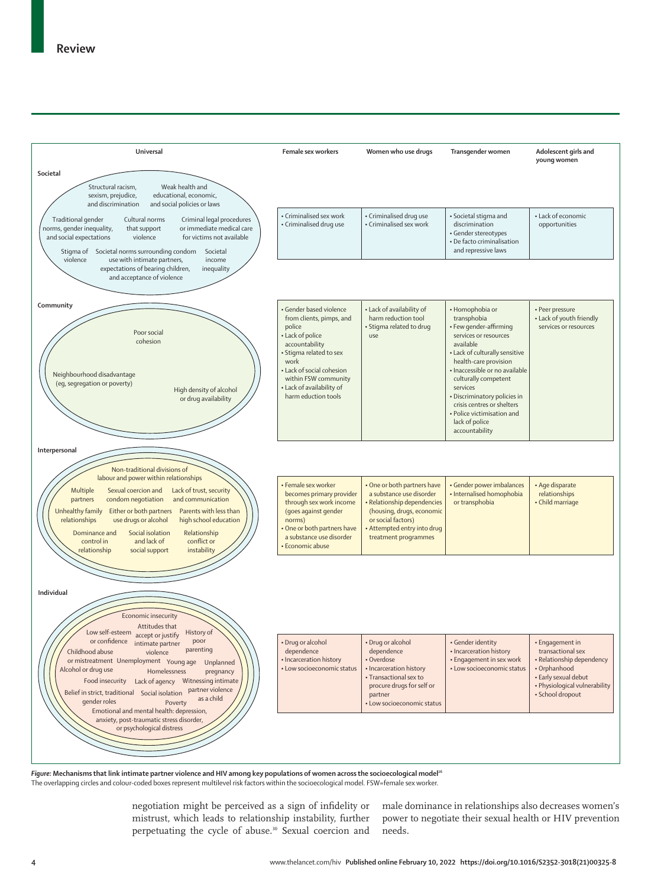

Figure: Mechanisms that link intimate partner violence and HIV among key populations of women across the socioecological model<sup>26</sup> The overlapping circles and colour-coded boxes represent multilevel risk factors within the socioecological model. FSW=female sex worker.

negotiation might be perceived as a sign of infidelity or mistrust, which leads to relationship instability, further perpetuating the cycle of abuse.30 Sexual coercion and

male dominance in relationships also decreases women's power to negotiate their sexual health or HIV prevention needs.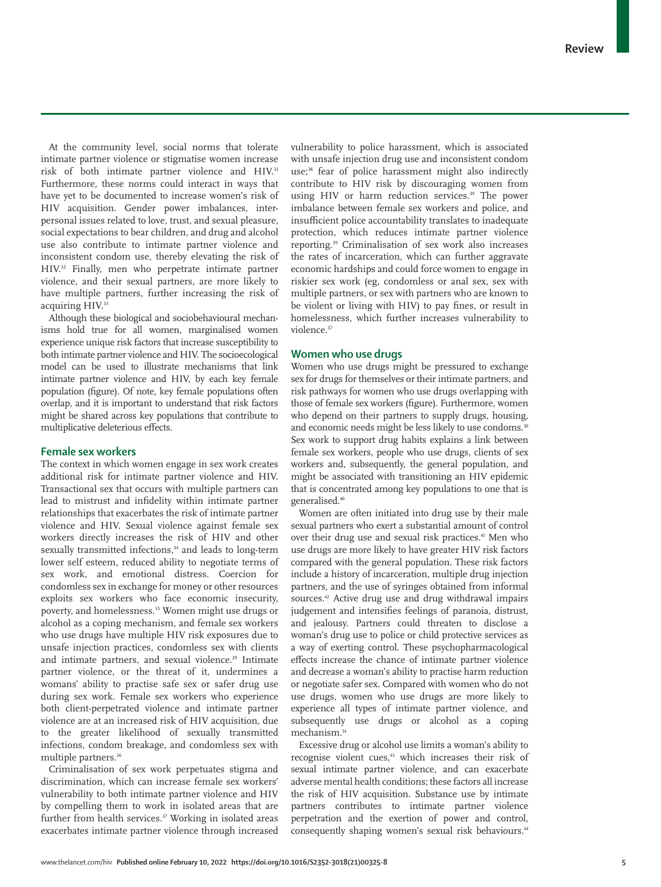At the community level, social norms that tolerate intimate partner violence or stigmatise women increase risk of both intimate partner violence and HIV.<sup>31</sup> Furthermore, these norms could interact in ways that have yet to be documented to increase women's risk of HIV acquisition. Gender power imbalances, interpersonal issues related to love, trust, and sexual pleasure, social expectations to bear children, and drug and alcohol use also contribute to intimate partner violence and inconsistent condom use, thereby elevating the risk of HIV.32 Finally, men who perpetrate intimate partner violence, and their sexual partners, are more likely to have multiple partners, further increasing the risk of acquiring HIV.<sup>33</sup>

Although these biological and sociobehavioural mechanisms hold true for all women, marginalised women experience unique risk factors that increase susceptibility to both intimate partner violence and HIV. The socioecological model can be used to illustrate mechanisms that link intimate partner violence and HIV, by each key female population (figure). Of note, key female populations often overlap, and it is important to understand that risk factors might be shared across key populations that contribute to multiplicative deleterious effects.

## **Female sex workers**

The context in which women engage in sex work creates additional risk for intimate partner violence and HIV. Transactional sex that occurs with multiple partners can lead to mistrust and infidelity within intimate partner relationships that exacerbates the risk of intimate partner violence and HIV. Sexual violence against female sex workers directly increases the risk of HIV and other sexually transmitted infections,<sup>34</sup> and leads to long-term lower self esteem, reduced ability to negotiate terms of sex work, and emotional distress. Coercion for condomless sex in exchange for money or other resources exploits sex workers who face economic insecurity, poverty, and homelessness.35 Women might use drugs or alcohol as a coping mechanism, and female sex workers who use drugs have multiple HIV risk exposures due to unsafe injection practices, condomless sex with clients and intimate partners, and sexual violence.<sup>29</sup> Intimate partner violence, or the threat of it, undermines a womans' ability to practise safe sex or safer drug use during sex work. Female sex workers who experience both client-perpetrated violence and intimate partner violence are at an increased risk of HIV acquisition, due to the greater likelihood of sexually transmitted infections, condom breakage, and condomless sex with multiple partners.<sup>36</sup>

Criminalisation of sex work perpetuates stigma and discrimination, which can increase female sex workers' vulnerability to both intimate partner violence and HIV by compelling them to work in isolated areas that are further from health services.<sup>37</sup> Working in isolated areas exacerbates intimate partner violence through increased vulnerability to police harassment, which is associated with unsafe injection drug use and inconsistent condom use;<sup>38</sup> fear of police harassment might also indirectly contribute to HIV risk by discouraging women from using HIV or harm reduction services.<sup>39</sup> The power imbalance between female sex workers and police, and insufficient police accountability translates to inadequate protection, which reduces intimate partner violence reporting.39 Criminalisation of sex work also increases the rates of incarceration, which can further aggravate economic hardships and could force women to engage in riskier sex work (eg, condomless or anal sex, sex with multiple partners, or sex with partners who are known to be violent or living with HIV) to pay fines, or result in homelessness, which further increases vulnerability to violence.<sup>37</sup>

## **Women who use drugs**

Women who use drugs might be pressured to exchange sex for drugs for themselves or their intimate partners, and risk pathways for women who use drugs overlapping with those of female sex workers (figure). Furthermore, women who depend on their partners to supply drugs, housing, and economic needs might be less likely to use condoms.<sup>30</sup> Sex work to support drug habits explains a link between female sex workers, people who use drugs, clients of sex workers and, subsequently, the general population, and might be associated with transitioning an HIV epidemic that is concentrated among key populations to one that is generalised.40

Women are often initiated into drug use by their male sexual partners who exert a substantial amount of control over their drug use and sexual risk practices.<sup>41</sup> Men who use drugs are more likely to have greater HIV risk factors compared with the general population. These risk factors include a history of incarceration, multiple drug injection partners, and the use of syringes obtained from informal sources.<sup>42</sup> Active drug use and drug withdrawal impairs judgement and intensifies feelings of paranoia, distrust, and jealousy. Partners could threaten to disclose a woman's drug use to police or child protective services as a way of exerting control. These psychopharmacological effects increase the chance of intimate partner violence and decrease a woman's ability to practise harm reduction or negotiate safer sex. Compared with women who do not use drugs, women who use drugs are more likely to experience all types of intimate partner violence, and subsequently use drugs or alcohol as a coping mechanism.14

Excessive drug or alcohol use limits a woman's ability to recognise violent cues,<sup>43</sup> which increases their risk of sexual intimate partner violence, and can exacerbate adverse mental health conditions; these factors all increase the risk of HIV acquisition. Substance use by intimate partners contributes to intimate partner violence perpetration and the exertion of power and control, consequently shaping women's sexual risk behaviours.<sup>44</sup>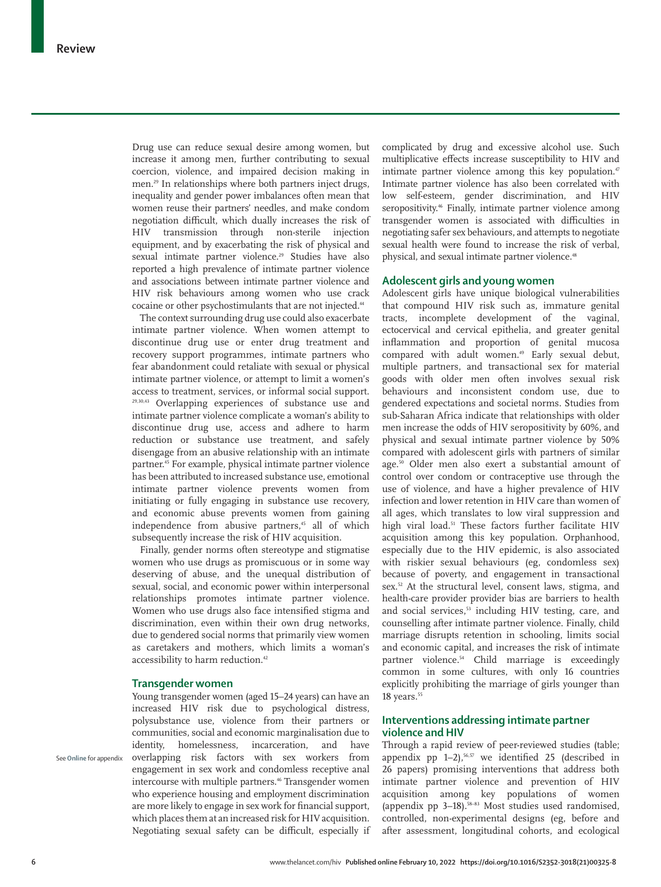Drug use can reduce sexual desire among women, but increase it among men, further contributing to sexual coercion, violence, and impaired decision making in men.29 In relationships where both partners inject drugs, inequality and gender power imbalances often mean that women reuse their partners' needles, and make condom negotiation difficult, which dually increases the risk of HIV transmission through non-sterile injection equipment, and by exacerbating the risk of physical and sexual intimate partner violence.<sup>29</sup> Studies have also reported a high prevalence of intimate partner violence and associations between intimate partner violence and HIV risk behaviours among women who use crack cocaine or other psychostimulants that are not injected.<sup>44</sup>

The context surrounding drug use could also exacerbate intimate partner violence. When women attempt to discontinue drug use or enter drug treatment and recovery support programmes, intimate partners who fear abandonment could retaliate with sexual or physical intimate partner violence, or attempt to limit a women's access to treatment, services, or informal social support. 29,30,43 Overlapping experiences of substance use and intimate partner violence complicate a woman's ability to discontinue drug use, access and adhere to harm reduction or substance use treatment, and safely disengage from an abusive relationship with an intimate partner.45 For example, physical intimate partner violence has been attributed to increased substance use, emotional intimate partner violence prevents women from initiating or fully engaging in substance use recovery, and economic abuse prevents women from gaining independence from abusive partners,<sup>45</sup> all of which subsequently increase the risk of HIV acquisition.

Finally, gender norms often stereotype and stigmatise women who use drugs as promiscuous or in some way deserving of abuse, and the unequal distribution of sexual, social, and economic power within interpersonal relationships promotes intimate partner violence. Women who use drugs also face intensified stigma and discrimination, even within their own drug networks, due to gendered social norms that primarily view women as caretakers and mothers, which limits a woman's accessibility to harm reduction.<sup>42</sup>

## **Transgender women**

Young transgender women (aged 15–24 years) can have an increased HIV risk due to psychological distress, polysubstance use, violence from their partners or communities, social and economic marginalisation due to identity, homelessness, incarceration, and have overlapping risk factors with sex workers from engagement in sex work and condomless receptive anal intercourse with multiple partners.<sup>46</sup> Transgender women who experience housing and employment discrimination are more likely to engage in sex work for financial support, which places them at an increased risk for HIV acquisition. Negotiating sexual safety can be difficult, especially if complicated by drug and excessive alcohol use. Such multiplicative effects increase susceptibility to HIV and intimate partner violence among this key population.<sup>47</sup> Intimate partner violence has also been correlated with low self-esteem, gender discrimination, and HIV seropositivity.<sup>46</sup> Finally, intimate partner violence among transgender women is associated with difficulties in negotiating safer sex behaviours, and attempts to negotiate sexual health were found to increase the risk of verbal, physical, and sexual intimate partner violence.<sup>48</sup>

## **Adolescent girls and young women**

Adolescent girls have unique biological vulnerabilities that compound HIV risk such as, immature genital tracts, incomplete development of the vaginal, ectocervical and cervical epithelia, and greater genital inflammation and proportion of genital mucosa compared with adult women.49 Early sexual debut, multiple partners, and transactional sex for material goods with older men often involves sexual risk behaviours and inconsistent condom use, due to gendered expectations and societal norms. Studies from sub-Saharan Africa indicate that relationships with older men increase the odds of HIV seropositivity by 60%, and physical and sexual intimate partner violence by 50% compared with adolescent girls with partners of similar age.50 Older men also exert a substantial amount of control over condom or contraceptive use through the use of violence, and have a higher prevalence of HIV infection and lower retention in HIV care than women of all ages, which translates to low viral suppression and high viral load.<sup>51</sup> These factors further facilitate HIV acquisition among this key population. Orphanhood, especially due to the HIV epidemic, is also associated with riskier sexual behaviours (eg, condomless sex) because of poverty, and engagement in transactional sex.52 At the structural level, consent laws, stigma, and health-care provider provider bias are barriers to health and social services,<sup>53</sup> including HIV testing, care, and counselling after intimate partner violence. Finally, child marriage disrupts retention in schooling, limits social and economic capital, and increases the risk of intimate partner violence.<sup>54</sup> Child marriage is exceedingly common in some cultures, with only 16 countries explicitly prohibiting the marriage of girls younger than 18 years.<sup>55</sup>

## **Interventions addressing intimate partner violence and HIV**

Through a rapid review of peer-reviewed studies (table; appendix pp  $1-2$ ),<sup>56,57</sup> we identified 25 (described in 26 papers) promising interventions that address both intimate partner violence and prevention of HIV acquisition among key populations of women (appendix pp  $3-18$ ).<sup>58–83</sup> Most studies used randomised, controlled, non-experimental designs (eg, before and after assessment, longitudinal cohorts, and ecological

See **Online** for appendix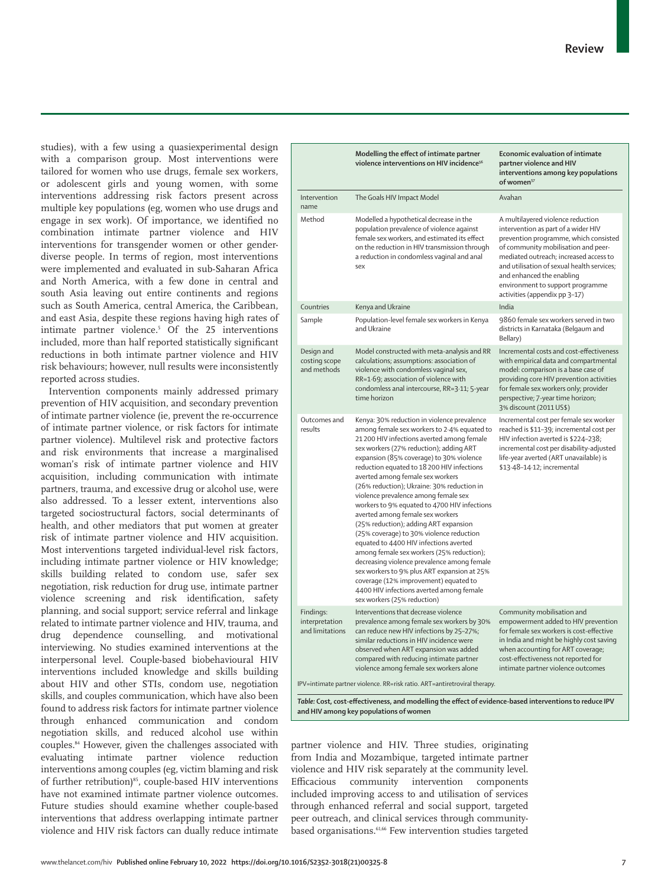studies), with a few using a quasiexperimental design with a comparison group. Most interventions were tailored for women who use drugs, female sex workers, or adolescent girls and young women, with some interventions addressing risk factors present across multiple key populations (eg, women who use drugs and engage in sex work). Of importance, we identified no combination intimate partner violence and HIV interventions for transgender women or other genderdiverse people. In terms of region, most interventions were implemented and evaluated in sub-Saharan Africa and North America, with a few done in central and south Asia leaving out entire continents and regions such as South America, central America, the Caribbean, and east Asia, despite these regions having high rates of intimate partner violence.5 Of the 25 interventions included, more than half reported statistically significant reductions in both intimate partner violence and HIV risk behaviours; however, null results were inconsistently reported across studies.

Intervention components mainly addressed primary prevention of HIV acquisition, and secondary prevention of intimate partner violence (ie, prevent the re-occurrence of intimate partner violence, or risk factors for intimate partner violence). Multilevel risk and protective factors and risk environments that increase a marginalised woman's risk of intimate partner violence and HIV acquisition, including communication with intimate partners, trauma, and excessive drug or alcohol use, were also addressed. To a lesser extent, interventions also targeted sociostructural factors, social determinants of health, and other mediators that put women at greater risk of intimate partner violence and HIV acquisition. Most interventions targeted individual-level risk factors, including intimate partner violence or HIV knowledge; skills building related to condom use, safer sex negotiation, risk reduction for drug use, intimate partner violence screening and risk identification, safety planning, and social support; service referral and linkage related to intimate partner violence and HIV, trauma, and drug dependence counselling, and motivational interviewing. No studies examined interventions at the interpersonal level. Couple-based biobehavioural HIV interventions included knowledge and skills building about HIV and other STIs, condom use, negotiation skills, and couples communication, which have also been found to address risk factors for intimate partner violence through enhanced communication and condom negotiation skills, and reduced alcohol use within couples.84 However, given the challenges associated with evaluating intimate partner violence reduction interventions among couples (eg, victim blaming and risk of further retribution)<sup>85</sup>, couple-based HIV interventions have not examined intimate partner violence outcomes. Future studies should examine whether couple-based interventions that address overlapping intimate partner violence and HIV risk factors can dually reduce intimate

|                                                | Modelling the effect of intimate partner<br>violence interventions on HIV incidence <sup>56</sup>                                                                                                                                                                                                                                                                                                                                                                                                                                                                                                                                                                                                                                                                                                                                                                                        | <b>Economic evaluation of intimate</b><br>partner violence and HIV<br>interventions among key populations<br>of women <sup>57</sup>                                                                                                                                                                                                                |
|------------------------------------------------|------------------------------------------------------------------------------------------------------------------------------------------------------------------------------------------------------------------------------------------------------------------------------------------------------------------------------------------------------------------------------------------------------------------------------------------------------------------------------------------------------------------------------------------------------------------------------------------------------------------------------------------------------------------------------------------------------------------------------------------------------------------------------------------------------------------------------------------------------------------------------------------|----------------------------------------------------------------------------------------------------------------------------------------------------------------------------------------------------------------------------------------------------------------------------------------------------------------------------------------------------|
| Intervention<br>name                           | The Goals HIV Impact Model                                                                                                                                                                                                                                                                                                                                                                                                                                                                                                                                                                                                                                                                                                                                                                                                                                                               | Avahan                                                                                                                                                                                                                                                                                                                                             |
| Method                                         | Modelled a hypothetical decrease in the<br>population prevalence of violence against<br>female sex workers, and estimated its effect<br>on the reduction in HIV transmission through<br>a reduction in condomless vaginal and anal<br>sex                                                                                                                                                                                                                                                                                                                                                                                                                                                                                                                                                                                                                                                | A multilayered violence reduction<br>intervention as part of a wider HIV<br>prevention programme, which consisted<br>of community mobilisation and peer-<br>mediated outreach; increased access to<br>and utilisation of sexual health services;<br>and enhanced the enabling<br>environment to support programme<br>activities (appendix pp 3-17) |
| Countries                                      | Kenya and Ukraine                                                                                                                                                                                                                                                                                                                                                                                                                                                                                                                                                                                                                                                                                                                                                                                                                                                                        | India                                                                                                                                                                                                                                                                                                                                              |
| Sample                                         | Population-level female sex workers in Kenya<br>and Ukraine                                                                                                                                                                                                                                                                                                                                                                                                                                                                                                                                                                                                                                                                                                                                                                                                                              | 9860 female sex workers served in two<br>districts in Karnataka (Belgaum and<br>Bellary)                                                                                                                                                                                                                                                           |
| Design and<br>costing scope<br>and methods     | Model constructed with meta-analysis and RR<br>calculations; assumptions: association of<br>violence with condomless vaginal sex,<br>RR=1.69; association of violence with<br>condomless anal intercourse, RR=3.11; 5-year<br>time horizon                                                                                                                                                                                                                                                                                                                                                                                                                                                                                                                                                                                                                                               | Incremental costs and cost-effectiveness<br>with empirical data and compartmental<br>model: comparison is a base case of<br>providing core HIV prevention activities<br>for female sex workers only; provider<br>perspective; 7-year time horizon;<br>3% discount (2011 US\$)                                                                      |
| Outcomes and<br>results                        | Kenya: 30% reduction in violence prevalence<br>among female sex workers to 2.4% equated to<br>21200 HIV infections averted among female<br>sex workers (27% reduction); adding ART<br>expansion (85% coverage) to 30% violence<br>reduction equated to 18 200 HIV infections<br>averted among female sex workers<br>(26% reduction); Ukraine: 30% reduction in<br>violence prevalence among female sex<br>workers to 9% equated to 4700 HIV infections<br>averted among female sex workers<br>(25% reduction); adding ART expansion<br>(25% coverage) to 30% violence reduction<br>equated to 4400 HIV infections averted<br>among female sex workers (25% reduction);<br>decreasing violence prevalence among female<br>sex workers to 9% plus ART expansion at 25%<br>coverage (12% improvement) equated to<br>4400 HIV infections averted among female<br>sex workers (25% reduction) | Incremental cost per female sex worker<br>reached is \$11-39; incremental cost per<br>HIV infection averted is \$224-238;<br>incremental cost per disability-adjusted<br>life-year averted (ART unavailable) is<br>\$13.48-14.12; incremental                                                                                                      |
| Findings:<br>interpretation<br>and limitations | Interventions that decrease violence<br>prevalence among female sex workers by 30%<br>can reduce new HIV infections by 25-27%;<br>similar reductions in HIV incidence were<br>observed when ART expansion was added<br>compared with reducing intimate partner<br>violence among female sex workers alone                                                                                                                                                                                                                                                                                                                                                                                                                                                                                                                                                                                | Community mobilisation and<br>empowerment added to HIV prevention<br>for female sex workers is cost-effective<br>in India and might be highly cost saving<br>when accounting for ART coverage;<br>cost-effectiveness not reported for<br>intimate partner violence outcomes                                                                        |

*Table:* **Cost, cost-effectiveness, and modelling the effect of evidence-based interventions to reduce IPV and HIV among key populations of women**

partner violence and HIV. Three studies, originating from India and Mozambique, targeted intimate partner violence and HIV risk separately at the community level. Efficacious community intervention components included improving access to and utilisation of services through enhanced referral and social support, targeted peer outreach, and clinical services through communitybased organisations.<sup>61,66</sup> Few intervention studies targeted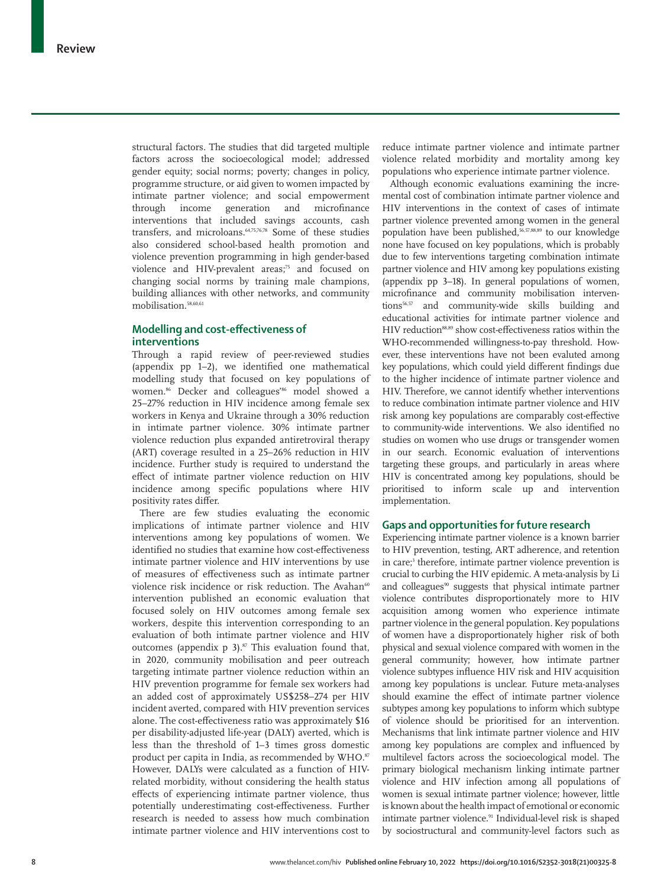structural factors. The studies that did targeted multiple factors across the socioecological model; addressed gender equity; social norms; poverty; changes in policy, programme structure, or aid given to women impacted by intimate partner violence; and social empowerment through income generation and microfinance interventions that included savings accounts, cash transfers, and microloans.<sup>64,75,76,78</sup> Some of these studies also considered school-based health promotion and violence prevention programming in high gender-based violence and HIV-prevalent areas;<sup>75</sup> and focused on changing social norms by training male champions, building alliances with other networks, and community mobilisation.58,60,61

## **Modelling and cost-effectiveness of interventions**

Through a rapid review of peer-reviewed studies (appendix pp 1–2), we identified one mathematical modelling study that focused on key populations of women.<sup>86</sup> Decker and colleagues'<sup>86</sup> model showed a 25–27% reduction in HIV incidence among female sex workers in Kenya and Ukraine through a 30% reduction in intimate partner violence. 30% intimate partner violence reduction plus expanded antiretroviral therapy (ART) coverage resulted in a 25–26% reduction in HIV incidence. Further study is required to understand the effect of intimate partner violence reduction on HIV incidence among specific populations where HIV positivity rates differ.

There are few studies evaluating the economic implications of intimate partner violence and HIV interventions among key populations of women. We identified no studies that examine how cost-effectiveness intimate partner violence and HIV interventions by use of measures of effectiveness such as intimate partner violence risk incidence or risk reduction. The Avahan<sup>60</sup> intervention published an economic evaluation that focused solely on HIV outcomes among female sex workers, despite this intervention corresponding to an evaluation of both intimate partner violence and HIV outcomes (appendix  $p = 3$ ).<sup>87</sup> This evaluation found that, in 2020, community mobilisation and peer outreach targeting intimate partner violence reduction within an HIV prevention programme for female sex workers had an added cost of approximately US\$258–274 per HIV incident averted, compared with HIV prevention services alone. The cost-effectiveness ratio was approximately \$16 per disability-adjusted life-year (DALY) averted, which is less than the threshold of 1–3 times gross domestic product per capita in India, as recommended by WHO.<sup>87</sup> However, DALYs were calculated as a function of HIVrelated morbidity, without considering the health status effects of experiencing intimate partner violence, thus potentially underestimating cost-effectiveness. Further research is needed to assess how much combination intimate partner violence and HIV interventions cost to reduce intimate partner violence and intimate partner violence related morbidity and mortality among key populations who experience intimate partner violence.

Although economic evaluations examining the incremental cost of combination intimate partner violence and HIV interventions in the context of cases of intimate partner violence prevented among women in the general population have been published,<sup>56,57,88,89</sup> to our knowledge none have focused on key populations, which is probably due to few interventions targeting combination intimate partner violence and HIV among key populations existing (appendix pp 3–18). In general populations of women, microfinance and community mobilisation interventions<sup>56,57</sup> and community-wide skills building and educational activities for intimate partner violence and HIV reduction<sup>88,89</sup> show cost-effectiveness ratios within the WHO-recommended willingness-to-pay threshold. However, these interventions have not been evaluted among key populations, which could yield different findings due to the higher incidence of intimate partner violence and HIV. Therefore, we cannot identify whether interventions to reduce combination intimate partner violence and HIV risk among key populations are comparably cost-effective to community-wide interventions. We also identified no studies on women who use drugs or transgender women in our search. Economic evaluation of interventions targeting these groups, and particularly in areas where HIV is concentrated among key populations, should be prioritised to inform scale up and intervention implementation.

## **Gaps and opportunities for future research**

Experiencing intimate partner violence is a known barrier to HIV prevention, testing, ART adherence, and retention in care;<sup>3</sup> therefore, intimate partner violence prevention is crucial to curbing the HIV epidemic. A meta-analysis by Li and colleagues<sup>90</sup> suggests that physical intimate partner violence contributes disproportionately more to HIV acquisition among women who experience intimate partner violence in the general population. Key populations of women have a disproportionately higher risk of both physical and sexual violence compared with women in the general community; however, how intimate partner violence subtypes influence HIV risk and HIV acquisition among key populations is unclear. Future meta-analyses should examine the effect of intimate partner violence subtypes among key populations to inform which subtype of violence should be prioritised for an intervention. Mechanisms that link intimate partner violence and HIV among key populations are complex and influenced by multilevel factors across the socioecological model. The primary biological mechanism linking intimate partner violence and HIV infection among all populations of women is sexual intimate partner violence; however, little is known about the health impact of emotional or economic intimate partner violence.<sup>91</sup> Individual-level risk is shaped by sociostructural and community-level factors such as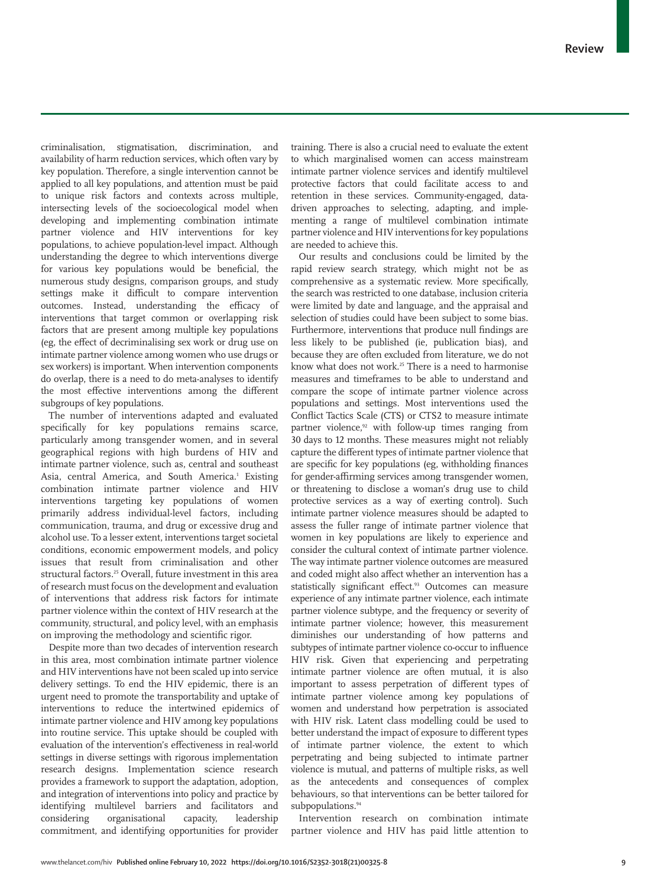criminalisation, stigmatisation, discrimination, and availability of harm reduction services, which often vary by key population. Therefore, a single intervention cannot be applied to all key populations, and attention must be paid to unique risk factors and contexts across multiple, intersecting levels of the socioecological model when developing and implementing combination intimate partner violence and HIV interventions for key populations, to achieve population-level impact. Although understanding the degree to which interventions diverge for various key populations would be beneficial, the numerous study designs, comparison groups, and study settings make it difficult to compare intervention outcomes. Instead, understanding the efficacy of interventions that target common or overlapping risk factors that are present among multiple key populations (eg, the effect of decriminalising sex work or drug use on intimate partner violence among women who use drugs or sex workers) is important. When intervention components do overlap, there is a need to do meta-analyses to identify the most effective interventions among the different subgroups of key populations.

The number of interventions adapted and evaluated specifically for key populations remains scarce, particularly among transgender women, and in several geographical regions with high burdens of HIV and intimate partner violence, such as, central and southeast Asia, central America, and South America.<sup>1</sup> Existing combination intimate partner violence and HIV interventions targeting key populations of women primarily address individual-level factors, including communication, trauma, and drug or excessive drug and alcohol use. To a lesser extent, interventions target societal conditions, economic empowerment models, and policy issues that result from criminalisation and other structural factors.<sup>25</sup> Overall, future investment in this area of research must focus on the development and evaluation of interventions that address risk factors for intimate partner violence within the context of HIV research at the community, structural, and policy level, with an emphasis on improving the methodology and scientific rigor.

Despite more than two decades of intervention research in this area, most combination intimate partner violence and HIV interventions have not been scaled up into service delivery settings. To end the HIV epidemic, there is an urgent need to promote the transportability and uptake of interventions to reduce the intertwined epidemics of intimate partner violence and HIV among key populations into routine service. This uptake should be coupled with evaluation of the intervention's effectiveness in real-world settings in diverse settings with rigorous implementation research designs. Implementation science research provides a framework to support the adaptation, adoption, and integration of interventions into policy and practice by identifying multilevel barriers and facilitators and considering organisational capacity, leadership commitment, and identifying opportunities for provider training. There is also a crucial need to evaluate the extent to which marginalised women can access mainstream intimate partner violence services and identify multilevel protective factors that could facilitate access to and retention in these services. Community-engaged, datadriven approaches to selecting, adapting, and implementing a range of multilevel combination intimate partner violence and HIV interventions for key populations are needed to achieve this.

Our results and conclusions could be limited by the rapid review search strategy, which might not be as comprehensive as a systematic review. More specifically, the search was restricted to one database, inclusion criteria were limited by date and language, and the appraisal and selection of studies could have been subject to some bias. Furthermore, interventions that produce null findings are less likely to be published (ie, publication bias), and because they are often excluded from literature, we do not know what does not work.<sup>25</sup> There is a need to harmonise measures and timeframes to be able to understand and compare the scope of intimate partner violence across populations and settings. Most interventions used the Conflict Tactics Scale (CTS) or CTS2 to measure intimate partner violence,<sup>92</sup> with follow-up times ranging from 30 days to 12 months. These measures might not reliably capture the different types of intimate partner violence that are specific for key populations (eg, withholding finances for gender-affirming services among transgender women, or threatening to disclose a woman's drug use to child protective services as a way of exerting control). Such intimate partner violence measures should be adapted to assess the fuller range of intimate partner violence that women in key populations are likely to experience and consider the cultural context of intimate partner violence. The way intimate partner violence outcomes are measured and coded might also affect whether an intervention has a statistically significant effect.<sup>93</sup> Outcomes can measure experience of any intimate partner violence, each intimate partner violence subtype, and the frequency or severity of intimate partner violence; however, this measurement diminishes our understanding of how patterns and subtypes of intimate partner violence co-occur to influence HIV risk. Given that experiencing and perpetrating intimate partner violence are often mutual, it is also important to assess perpetration of different types of intimate partner violence among key populations of women and understand how perpetration is associated with HIV risk. Latent class modelling could be used to better understand the impact of exposure to different types of intimate partner violence, the extent to which perpetrating and being subjected to intimate partner violence is mutual, and patterns of multiple risks, as well as the antecedents and consequences of complex behaviours, so that interventions can be better tailored for subpopulations.<sup>94</sup>

Intervention research on combination intimate partner violence and HIV has paid little attention to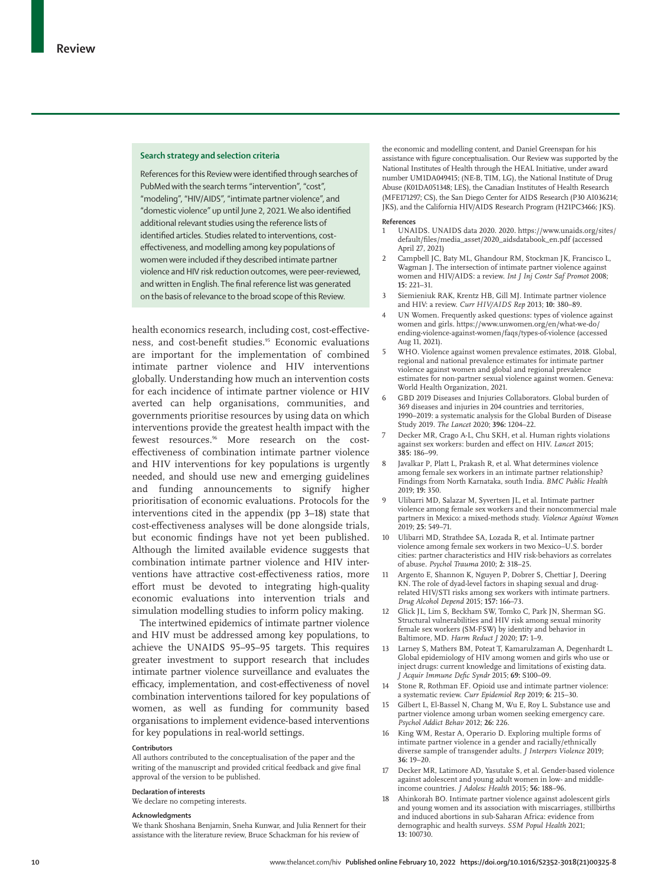#### **Search strategy and selection criteria**

References for this Review were identified through searches of PubMed with the search terms "intervention", "cost", "modeling", "HIV/AIDS", "intimate partner violence", and "domestic violence" up until June 2, 2021. We also identified additional relevant studies using the reference lists of identified articles. Studies related to interventions, costeffectiveness, and modelling among key populations of women were included if they described intimate partner violence and HIV risk reduction outcomes, were peer-reviewed, and written in English. The final reference list was generated on the basis of relevance to the broad scope of this Review.

health economics research, including cost, cost-effectiveness, and cost-benefit studies.<sup>95</sup> Economic evaluations are important for the implementation of combined intimate partner violence and HIV interventions globally. Understanding how much an intervention costs for each incidence of intimate partner violence or HIV averted can help organisations, communities, and governments prioritise resources by using data on which interventions provide the greatest health impact with the fewest resources.<sup>96</sup> More research on the costeffectiveness of combination intimate partner violence and HIV interventions for key populations is urgently needed, and should use new and emerging guidelines and funding announcements to signify higher prioritisation of economic evaluations. Protocols for the interventions cited in the appendix (pp 3–18) state that cost-effectiveness analyses will be done alongside trials, but economic findings have not yet been published. Although the limited available evidence suggests that combination intimate partner violence and HIV interventions have attractive cost-effectiveness ratios, more effort must be devoted to integrating high-quality economic evaluations into intervention trials and simulation modelling studies to inform policy making.

The intertwined epidemics of intimate partner violence and HIV must be addressed among key populations, to achieve the UNAIDS 95–95–95 targets. This requires greater investment to support research that includes intimate partner violence surveillance and evaluates the efficacy, implementation, and cost-effectiveness of novel combination interventions tailored for key populations of women, as well as funding for community based organisations to implement evidence-based interventions for key populations in real-world settings.

#### **Contributors**

All authors contributed to the conceptualisation of the paper and the writing of the manuscript and provided critical feedback and give final approval of the version to be published.

#### **Declaration of interests**

We declare no competing interests.

#### **Acknowledgments**

We thank Shoshana Benjamin, Sneha Kunwar, and Julia Rennert for their assistance with the literature review, Bruce Schackman for his review of

the economic and modelling content, and Daniel Greenspan for his assistance with figure conceptualisation. Our Review was supported by the National Institutes of Health through the HEAL Initiative, under award number UM1DA049415; (NE-B, TIM, LG), the National Institute of Drug Abuse (K01DA051348; LES), the Canadian Institutes of Health Research (MFE171297; CS), the San Diego Center for AIDS Research (P30 AI036214; JKS), and the California HIV/AIDS Research Program (H21PC3466; JKS).

#### **References**

- 1 UNAIDS. UNAIDS data 2020. 2020. https://www.unaids.org/sites/ default/files/media\_asset/2020\_aidsdatabook\_en.pdf (accessed April 27, 2021)
- 2 Campbell JC, Baty ML, Ghandour RM, Stockman JK, Francisco L, Wagman J. The intersection of intimate partner violence against women and HIV/AIDS: a review. *Int J Inj Contr Saf Promot* 2008; **15:** 221–31.
- 3 Siemieniuk RAK, Krentz HB, Gill MJ. Intimate partner violence and HIV: a review. *Curr HIV/AIDS Rep* 2013; **10:** 380–89.
- 4 UN Women. Frequently asked questions: types of violence against women and girls. https://www.unwomen.org/en/what-we-do/ ending-violence-against-women/faqs/types-of-violence (accessed Aug 11, 2021).
- 5 WHO. Violence against women prevalence estimates, 2018. Global, regional and national prevalence estimates for intimate partner violence against women and global and regional prevalence estimates for non-partner sexual violence against women. Geneva: World Health Organization, 2021.
- 6 GBD 2019 Diseases and Injuries Collaborators. Global burden of 369 diseases and injuries in 204 countries and territories, 1990–2019: a systematic analysis for the Global Burden of Disease Study 2019. *The Lancet* 2020; **396:** 1204–22.
- 7 Decker MR, Crago A-L, Chu SKH, et al. Human rights violations against sex workers: burden and effect on HIV. *Lancet* 2015; **385:** 186–99.
- Javalkar P, Platt L, Prakash R, et al. What determines violence among female sex workers in an intimate partner relationship? Findings from North Karnataka, south India. *BMC Public Health* 2019; **19:** 350.
- 9 Ulibarri MD, Salazar M, Syvertsen JL, et al. Intimate partner violence among female sex workers and their noncommercial male partners in Mexico: a mixed-methods study. *Violence Against Women* 2019; **25:** 549–71.
- 10 Ulibarri MD, Strathdee SA, Lozada R, et al. Intimate partner violence among female sex workers in two Mexico–U.S. border cities: partner characteristics and HIV risk-behaviors as correlates of abuse. *Psychol Trauma* 2010; **2:** 318–25.
- 11 Argento E, Shannon K, Nguyen P, Dobrer S, Chettiar J, Deering KN. The role of dyad-level factors in shaping sexual and drugrelated HIV/STI risks among sex workers with intimate partners. *Drug Alcohol Depend* 2015; **157:** 166–73.
- 12 Glick JL, Lim S, Beckham SW, Tomko C, Park JN, Sherman SG. Structural vulnerabilities and HIV risk among sexual minority female sex workers (SM-FSW) by identity and behavior in Baltimore, MD. *Harm Reduct J* 2020; **17:** 1–9.
- 13 Larney S, Mathers BM, Poteat T, Kamarulzaman A, Degenhardt L. Global epidemiology of HIV among women and girls who use or inject drugs: current knowledge and limitations of existing data. *J Acquir Immune Defic Syndr* 2015; **69:** S100–09.
- 14 Stone R, Rothman EF. Opioid use and intimate partner violence: a systematic review. *Curr Epidemiol Rep* 2019; **6:** 215–30.
- 15 Gilbert L, El-Bassel N, Chang M, Wu E, Roy L. Substance use and partner violence among urban women seeking emergency care. *Psychol Addict Behav* 2012; **26:** 226.
- 16 King WM, Restar A, Operario D. Exploring multiple forms of intimate partner violence in a gender and racially/ethnically diverse sample of transgender adults. *J Interpers Violence* 2019; **36:** 19–20.
- 17 Decker MR, Latimore AD, Yasutake S, et al. Gender-based violence against adolescent and young adult women in low- and middleincome countries. *J Adolesc Health* 2015; **56:** 188–96.
- 18 Ahinkorah BO. Intimate partner violence against adolescent girls and young women and its association with miscarriages, stillbirths and induced abortions in sub-Saharan Africa: evidence from demographic and health surveys. *SSM Popul Health* 2021; **13:** 100730.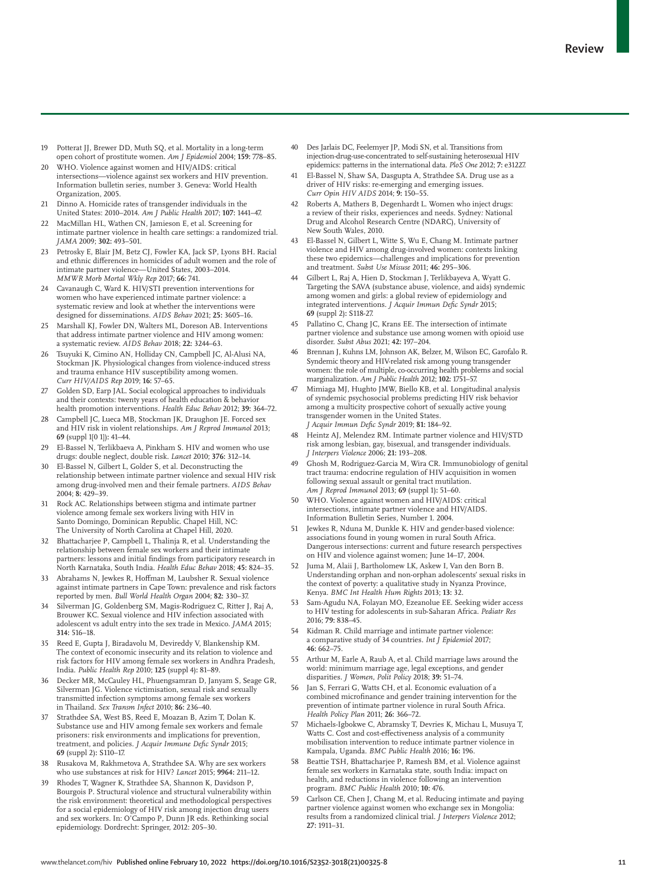- 19 Potterat JJ, Brewer DD, Muth SQ, et al. Mortality in a long-term open cohort of prostitute women. *Am J Epidemiol* 2004; **159:** 778–85.
- 20 WHO. Violence against women and HIV/AIDS: critical intersections—violence against sex workers and HIV prevention. Information bulletin series, number 3. Geneva: World Health Organization, 2005.
- 21 Dinno A. Homicide rates of transgender individuals in the United States: 2010–2014. *Am J Public Health* 2017; **107:** 1441–47.
- 22 MacMillan HL, Wathen CN, Jamieson E, et al. Screening for intimate partner violence in health care settings: a randomized trial. *JAMA* 2009; **302:** 493–501.
- 23 Petrosky E, Blair JM, Betz CJ, Fowler KA, Jack SP, Lyons BH. Racial and ethnic differences in homicides of adult women and the role of intimate partner violence—United States, 2003–2014. *MMWR Morb Mortal Wkly Rep* 2017; **66:** 741.
- 24 Cavanaugh C, Ward K. HIV/STI prevention interventions for women who have experienced intimate partner violence: a systematic review and look at whether the interventions were designed for disseminations. *AIDS Behav* 2021; **25:** 3605–16.
- 25 Marshall KJ, Fowler DN, Walters ML, Doreson AB. Interventions that address intimate partner violence and HIV among women: a systematic review. *AIDS Behav* 2018; **22:** 3244–63.
- 26 Tsuyuki K, Cimino AN, Holliday CN, Campbell JC, Al-Alusi NA, Stockman JK. Physiological changes from violence-induced stress and trauma enhance HIV susceptibility among women. *Curr HIV/AIDS Rep* 2019; **16:** 57–65.
- 27 Golden SD, Earp JAL. Social ecological approaches to individuals and their contexts: twenty years of health education & behavior health promotion interventions. *Health Educ Behav* 2012; **39:** 364–72.
- Campbell JC, Lueca MB, Stockman JK, Draughon JE. Forced sex and HIV risk in violent relationships. *Am J Reprod Immunol* 2013; **69** (suppl 1[0 1])**:** 41–44.
- 29 El-Bassel N, Terlikbaeva A, Pinkham S. HIV and women who use drugs: double neglect, double risk. *Lancet* 2010; **376:** 312–14.
- El-Bassel N, Gilbert L, Golder S, et al. Deconstructing the relationship between intimate partner violence and sexual HIV risk among drug-involved men and their female partners. *AIDS Behav* 2004; **8:** 429–39.
- 31 Rock AC. Relationships between stigma and intimate partner violence among female sex workers living with HIV in Santo Domingo, Dominican Republic. Chapel Hill, NC: The University of North Carolina at Chapel Hill, 2020.
- Bhattacharjee P, Campbell L, Thalinja R, et al. Understanding the relationship between female sex workers and their intimate partners: lessons and initial findings from participatory research in North Karnataka, South India. *Health Educ Behav* 2018; **45:** 824–35.
- 33 Abrahams N, Jewkes R, Hoffman M, Laubsher R. Sexual violence against intimate partners in Cape Town: prevalence and risk factors reported by men. *Bull World Health Organ* 2004; **82:** 330–37.
- 34 Silverman JG, Goldenberg SM, Magis-Rodriguez C, Ritter J, Raj A, Brouwer KC. Sexual violence and HIV infection associated with adolescent vs adult entry into the sex trade in Mexico. *JAMA* 2015; **314:** 516–18.
- 35 Reed E, Gupta J, Biradavolu M, Devireddy V, Blankenship KM. The context of economic insecurity and its relation to violence and risk factors for HIV among female sex workers in Andhra Pradesh, India. *Public Health Rep* 2010; **125** (suppl 4)**:** 81–89.
- 36 Decker MR, McCauley HL, Phuengsamran D, Janyam S, Seage GR, Silverman JG. Violence victimisation, sexual risk and sexually transmitted infection symptoms among female sex workers in Thailand. *Sex Transm Infect* 2010; **86:** 236–40.
- Strathdee SA, West BS, Reed E, Moazan B, Azim T, Dolan K. Substance use and HIV among female sex workers and female prisoners: risk environments and implications for prevention, treatment, and policies. *J Acquir Immune Defic Syndr* 2015; **69** (suppl 2)**:** S110–17.
- 38 Rusakova M, Rakhmetova A, Strathdee SA. Why are sex workers who use substances at risk for HIV? *Lancet* 2015; **9964:** 211–12.
- 39 Rhodes T, Wagner K, Strathdee SA, Shannon K, Davidson P, Bourgois P. Structural violence and structural vulnerability within the risk environment: theoretical and methodological perspectives for a social epidemiology of HIV risk among injection drug users and sex workers. In: O'Campo P, Dunn JR eds. Rethinking social epidemiology. Dordrecht: Springer, 2012: 205–30.
- Des Jarlais DC, Feelemyer JP, Modi SN, et al. Transitions from injection-drug-use-concentrated to self-sustaining heterosexual HIV epidemics: patterns in the international data. *PloS One* 2012; **7:** e31227.
- 41 El-Bassel N, Shaw SA, Dasgupta A, Strathdee SA. Drug use as a driver of HIV risks: re-emerging and emerging issues. *Curr Opin HIV AIDS* 2014; **9:** 150–55.
- Roberts A, Mathers B, Degenhardt L. Women who inject drugs: a review of their risks, experiences and needs. Sydney*:* National Drug and Alcohol Research Centre (NDARC), University of New South Wales, 2010.
- 43 El-Bassel N, Gilbert L, Witte S, Wu E, Chang M. Intimate partner violence and HIV among drug-involved women: contexts linking these two epidemics—challenges and implications for prevention and treatment. *Subst Use Misuse* 2011; **46:** 295–306.
- 44 Gilbert L, Raj A, Hien D, Stockman J, Terlikbayeva A, Wyatt G. Targeting the SAVA (substance abuse, violence, and aids) syndemic among women and girls: a global review of epidemiology and integrated interventions. *J Acquir Immun Defic Syndr* 2015; **69** (suppl 2)**:** S118-27.
- 45 Pallatino C, Chang JC, Krans EE. The intersection of intimate partner violence and substance use among women with opioid use disorder. *Subst Abus* 2021; **42:** 197–204.
- Brennan J, Kuhns LM, Johnson AK, Belzer, M, Wilson EC, Garofalo R. Syndemic theory and HIV-related risk among young transgender women: the role of multiple, co-occurring health problems and social marginalization. *Am J Public Health* 2012; **102:** 1751–57.
- Mimiaga MJ, Hughto JMW, Biello KB, et al. Longitudinal analysis of syndemic psychosocial problems predicting HIV risk behavior among a multicity prospective cohort of sexually active young transgender women in the United States. *J Acquir Immun Defic Syndr* 2019; **81:** 184–92.
- Heintz AJ, Melendez RM. Intimate partner violence and HIV/STD risk among lesbian, gay, bisexual, and transgender individuals. *J Interpers Violence* 2006; **21:** 193–208.
- 49 Ghosh M, Rodriguez-Garcia M, Wira CR. Immunobiology of genital tract trauma: endocrine regulation of HIV acquisition in women following sexual assault or genital tract mutilation. *Am J Reprod Immunol* 2013; **69** (suppl 1)**:** 51–60.
- 50 WHO. Violence against women and HIV/AIDS: critical intersections, intimate partner violence and HIV/AIDS. Information Bulletin Series, Number 1. 2004.
- Jewkes R, Nduna M, Dunkle K. HIV and gender-based violence: associations found in young women in rural South Africa. Dangerous intersections: current and future research perspectives on HIV and violence against women; June 14–17, 2004.
- 52 Juma M, Alaii J, Bartholomew LK, Askew I, Van den Born B. Understanding orphan and non-orphan adolescents' sexual risks in the context of poverty: a qualitative study in Nyanza Province, Kenya. *BMC Int Health Hum Rights* 2013; **13:** 32.
- 53 Sam-Agudu NA, Folayan MO, Ezeanolue EE. Seeking wider access to HIV testing for adolescents in sub-Saharan Africa. *Pediatr Res* 2016; **79:** 838–45.
- 54 Kidman R. Child marriage and intimate partner violence: a comparative study of 34 countries. *Int J Epidemiol* 2017; **46:** 662–75.
- 55 Arthur M, Earle A, Raub A, et al. Child marriage laws around the world: minimum marriage age, legal exceptions, and gender disparities. *J Women, Polit Policy* 2018; **39:** 51–74.
- 56 Jan S, Ferrari G, Watts CH, et al. Economic evaluation of a combined microfinance and gender training intervention for the prevention of intimate partner violence in rural South Africa. *Health Policy Plan* 2011; **26:** 366–72.
- 57 Michaels-Igbokwe C, Abramsky T, Devries K, Michau L, Musuya T, Watts C. Cost and cost-effectiveness analysis of a community mobilisation intervention to reduce intimate partner violence in Kampala, Uganda. *BMC Public Health* 2016; **16:** 196.
- 58 Beattie TSH, Bhattacharjee P, Ramesh BM, et al. Violence against female sex workers in Karnataka state, south India: impact on health, and reductions in violence following an intervention program. *BMC Public Health* 2010; **10:** 476.
- Carlson CE, Chen J, Chang M, et al. Reducing intimate and paying partner violence against women who exchange sex in Mongolia: results from a randomized clinical trial. *J Interpers Violence* 2012; **27:** 1911–31.